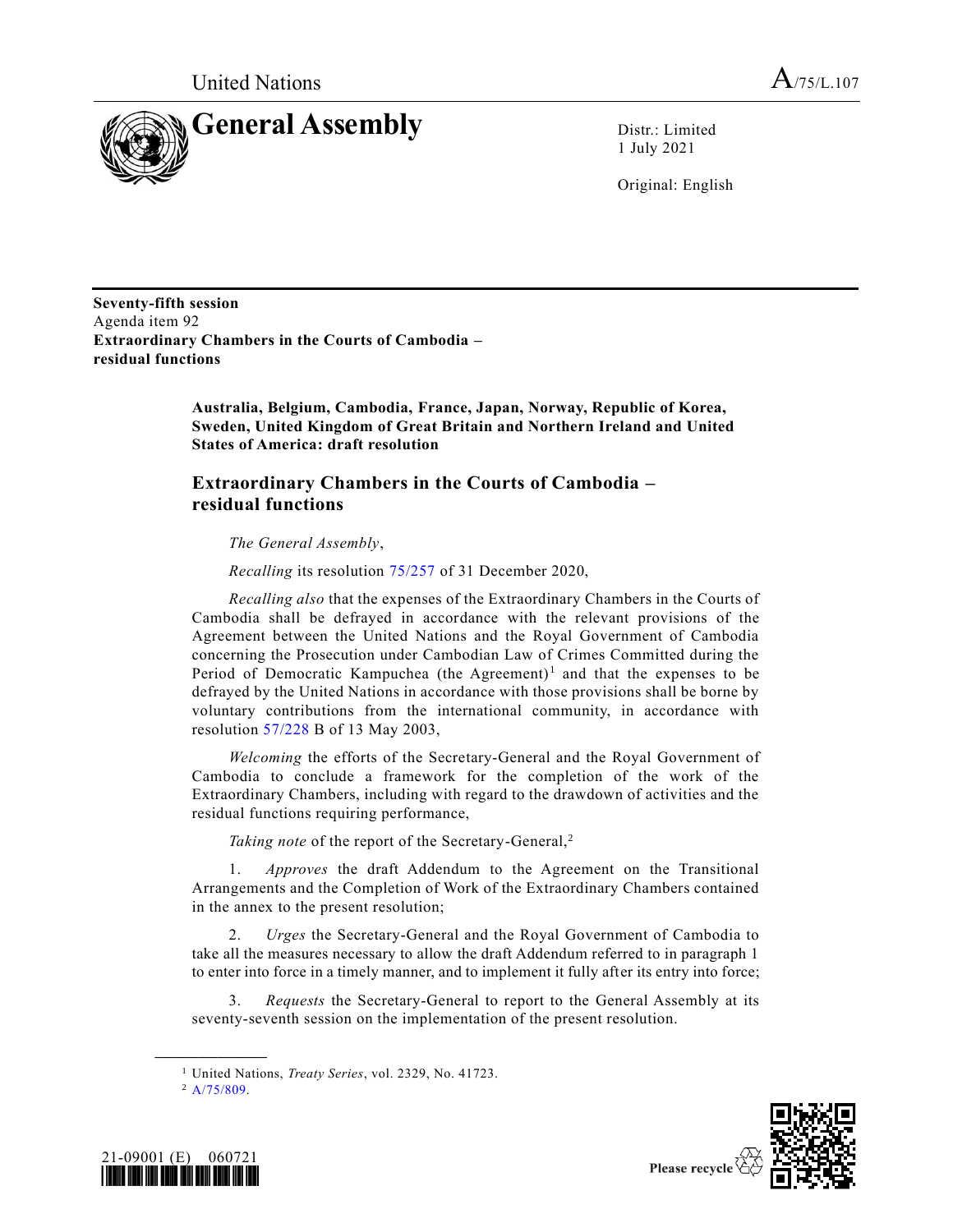

1 July 2021

Original: English

**Seventy-fifth session** Agenda item 92 **Extraordinary Chambers in the Courts of Cambodia – residual functions**

> **Australia, Belgium, Cambodia, France, Japan, Norway, Republic of Korea, Sweden, United Kingdom of Great Britain and Northern Ireland and United States of America: draft resolution**

#### **Extraordinary Chambers in the Courts of Cambodia – residual functions**

*The General Assembly*,

*Recalling* its resolution [75/257](https://undocs.org/en/A/RES/75/257) of 31 December 2020,

*Recalling also* that the expenses of the Extraordinary Chambers in the Courts of Cambodia shall be defrayed in accordance with the relevant provisions of the Agreement between the United Nations and the Royal Government of Cambodia concerning the Prosecution under Cambodian Law of Crimes Committed during the Period of Democratic Kampuchea (the Agreement)<sup>1</sup> and that the expenses to be defrayed by the United Nations in accordance with those provisions shall be borne by voluntary contributions from the international community, in accordance with resolution [57/228](https://undocs.org/en/A/RES/57/228b) B of 13 May 2003,

*Welcoming* the efforts of the Secretary-General and the Royal Government of Cambodia to conclude a framework for the completion of the work of the Extraordinary Chambers, including with regard to the drawdown of activities and the residual functions requiring performance,

*Taking note* of the report of the Secretary-General,<sup>2</sup>

1. *Approves* the draft Addendum to the Agreement on the Transitional Arrangements and the Completion of Work of the Extraordinary Chambers contained in the annex to the present resolution;

2. *Urges* the Secretary-General and the Royal Government of Cambodia to take all the measures necessary to allow the draft Addendum referred to in paragraph 1 to enter into force in a timely manner, and to implement it fully after its entry into force;

3. *Requests* the Secretary-General to report to the General Assembly at its seventy-seventh session on the implementation of the present resolution.

**\_\_\_\_\_\_\_\_\_\_\_\_\_\_\_\_\_\_**





<sup>1</sup> United Nations, *Treaty Series*, vol. 2329, No. 41723.

 $^2$  [A/75/809.](https://undocs.org/en/A/75/809)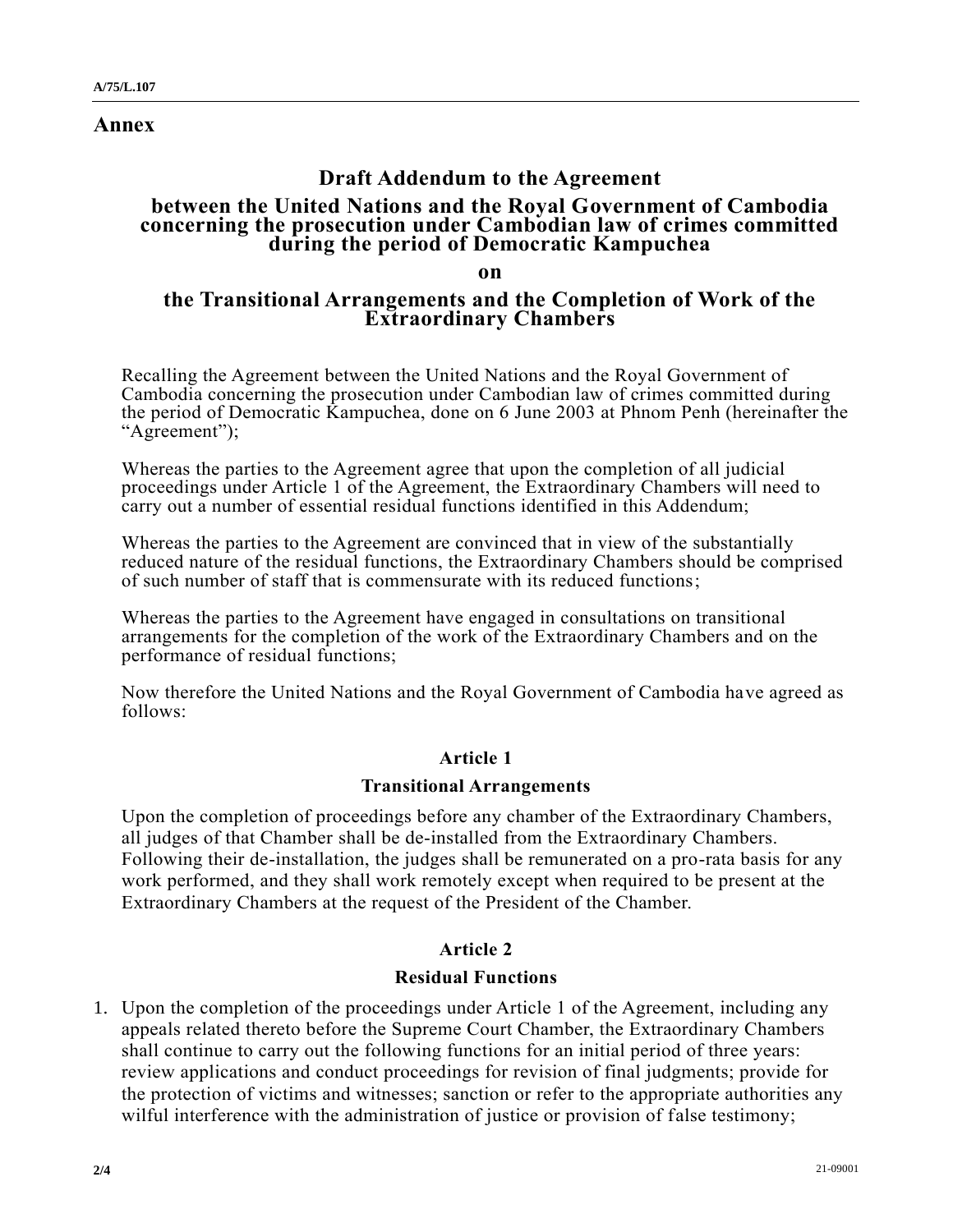**Annex**

# **Draft Addendum to the Agreement**

### **between the United Nations and the Royal Government of Cambodia concerning the prosecution under Cambodian law of crimes committed during the period of Democratic Kampuchea**

**on**

### **the Transitional Arrangements and the Completion of Work of the Extraordinary Chambers**

Recalling the Agreement between the United Nations and the Royal Government of Cambodia concerning the prosecution under Cambodian law of crimes committed during the period of Democratic Kampuchea, done on 6 June 2003 at Phnom Penh (hereinafter the "Agreement");

Whereas the parties to the Agreement agree that upon the completion of all judicial proceedings under Article 1 of the Agreement, the Extraordinary Chambers will need to carry out a number of essential residual functions identified in this Addendum;

Whereas the parties to the Agreement are convinced that in view of the substantially reduced nature of the residual functions, the Extraordinary Chambers should be comprised of such number of staff that is commensurate with its reduced functions;

Whereas the parties to the Agreement have engaged in consultations on transitional arrangements for the completion of the work of the Extraordinary Chambers and on the performance of residual functions;

Now therefore the United Nations and the Royal Government of Cambodia have agreed as follows:

## **Article 1**

#### **Transitional Arrangements**

Upon the completion of proceedings before any chamber of the Extraordinary Chambers, all judges of that Chamber shall be de-installed from the Extraordinary Chambers. Following their de-installation, the judges shall be remunerated on a pro-rata basis for any work performed, and they shall work remotely except when required to be present at the Extraordinary Chambers at the request of the President of the Chamber.

## **Article 2**

#### **Residual Functions**

1. Upon the completion of the proceedings under Article 1 of the Agreement, including any appeals related thereto before the Supreme Court Chamber, the Extraordinary Chambers shall continue to carry out the following functions for an initial period of three years: review applications and conduct proceedings for revision of final judgments; provide for the protection of victims and witnesses; sanction or refer to the appropriate authorities any wilful interference with the administration of justice or provision of false testimony;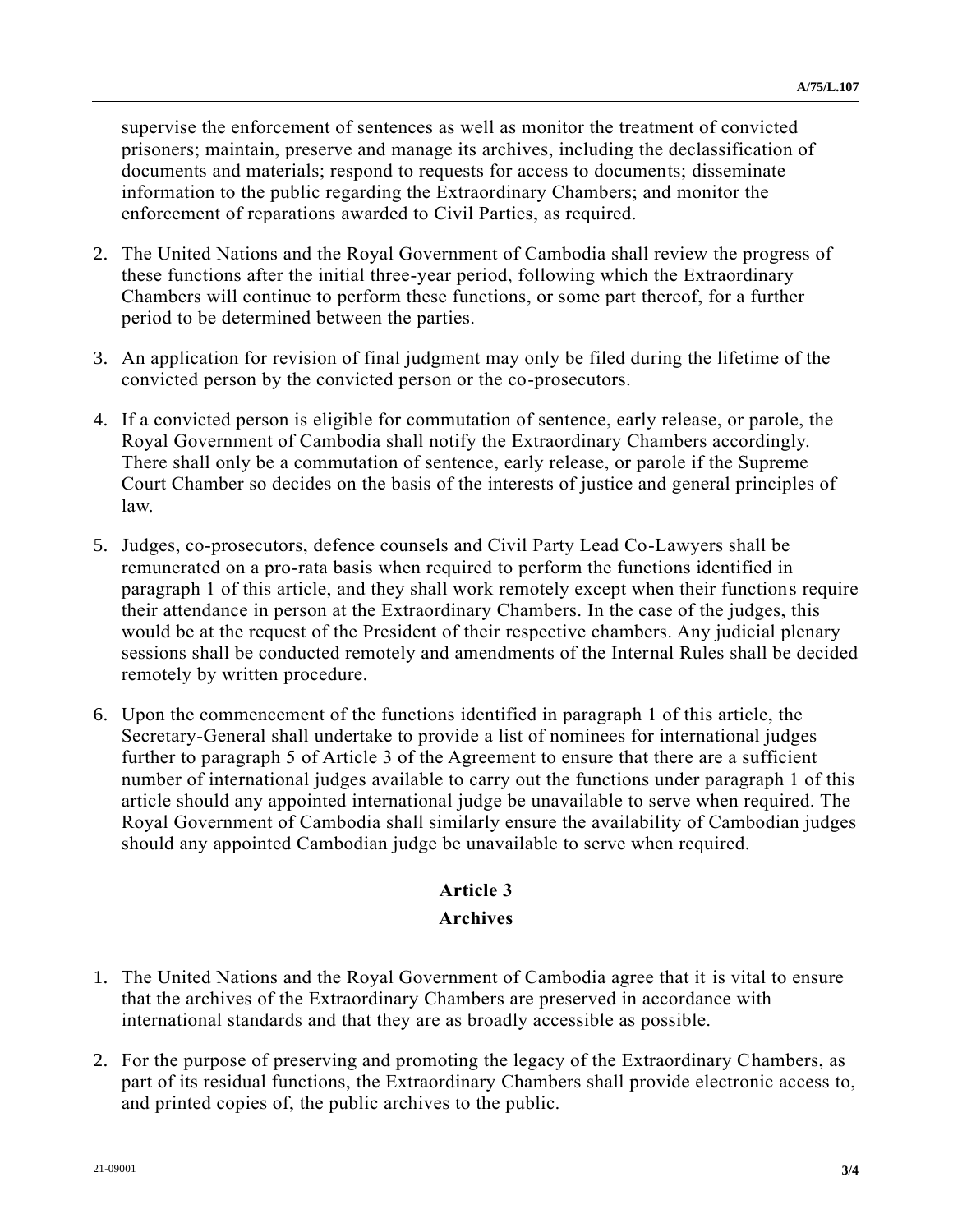supervise the enforcement of sentences as well as monitor the treatment of convicted prisoners; maintain, preserve and manage its archives, including the declassification of documents and materials; respond to requests for access to documents; disseminate information to the public regarding the Extraordinary Chambers; and monitor the enforcement of reparations awarded to Civil Parties, as required.

- 2. The United Nations and the Royal Government of Cambodia shall review the progress of these functions after the initial three-year period, following which the Extraordinary Chambers will continue to perform these functions, or some part thereof, for a further period to be determined between the parties.
- 3. An application for revision of final judgment may only be filed during the lifetime of the convicted person by the convicted person or the co-prosecutors.
- 4. If a convicted person is eligible for commutation of sentence, early release, or parole, the Royal Government of Cambodia shall notify the Extraordinary Chambers accordingly. There shall only be a commutation of sentence, early release, or parole if the Supreme Court Chamber so decides on the basis of the interests of justice and general principles of law.
- 5. Judges, co-prosecutors, defence counsels and Civil Party Lead Co-Lawyers shall be remunerated on a pro-rata basis when required to perform the functions identified in paragraph 1 of this article, and they shall work remotely except when their functions require their attendance in person at the Extraordinary Chambers. In the case of the judges, this would be at the request of the President of their respective chambers. Any judicial plenary sessions shall be conducted remotely and amendments of the Internal Rules shall be decided remotely by written procedure.
- 6. Upon the commencement of the functions identified in paragraph 1 of this article, the Secretary-General shall undertake to provide a list of nominees for international judges further to paragraph 5 of Article 3 of the Agreement to ensure that there are a sufficient number of international judges available to carry out the functions under paragraph 1 of this article should any appointed international judge be unavailable to serve when required. The Royal Government of Cambodia shall similarly ensure the availability of Cambodian judges should any appointed Cambodian judge be unavailable to serve when required.

## **Article 3**

#### **Archives**

- 1. The United Nations and the Royal Government of Cambodia agree that it is vital to ensure that the archives of the Extraordinary Chambers are preserved in accordance with international standards and that they are as broadly accessible as possible.
- 2. For the purpose of preserving and promoting the legacy of the Extraordinary Chambers, as part of its residual functions, the Extraordinary Chambers shall provide electronic access to, and printed copies of, the public archives to the public.